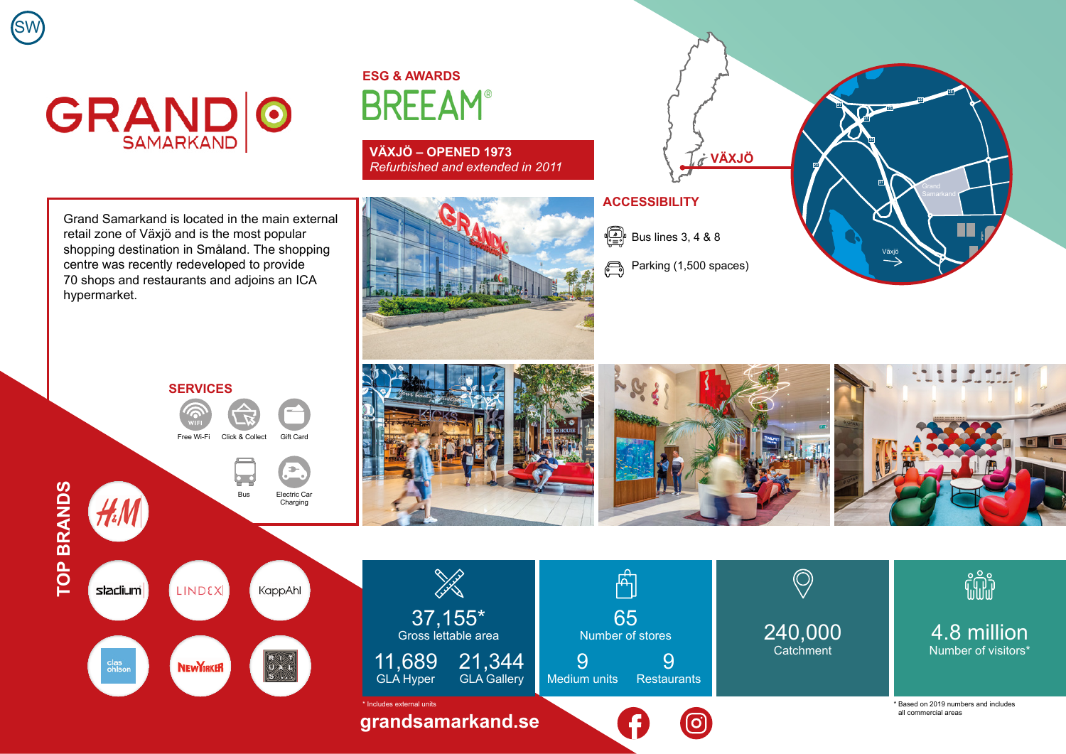## **GRAND O**

SW

**ESG & AWARDS BREEAM®** 

**VÄXJÖ – OPENED 1973** *Refurbished and extended in 2011*

Grand Samarkand is located in the main external retail zone of Växjö and is the most popular shopping destination in Småland. The shopping centre was recently redeveloped to provide 70 shops and restaurants and adjoins an ICA hypermarket.

## **ACCESSIBILITY**

 $\begin{bmatrix} \begin{smallmatrix} \begin{smallmatrix} 0 \\ \begin{smallmatrix} 0 \\ 1 \end{smallmatrix} \end{smallmatrix} \\ \begin{smallmatrix} \begin{smallmatrix} 0 \\ 1 \end{smallmatrix} \end{smallmatrix} \end{bmatrix} & \text{Bus lines } 3, 4 & 8 & 8 \end{bmatrix}$ 

Parking (1,500 spaces)  $\bigoplus$ 





**NEW YORKER** 

clas<br>ohlsor

 $\begin{array}{c}\nR & 1 \\
\downarrow \\
S & 1\n\end{array}$ 







240,000 **Catchment** 

O

fili

4.8 million Number of visitors\*

\* Based on 2019 numbers and includes all commercial areas